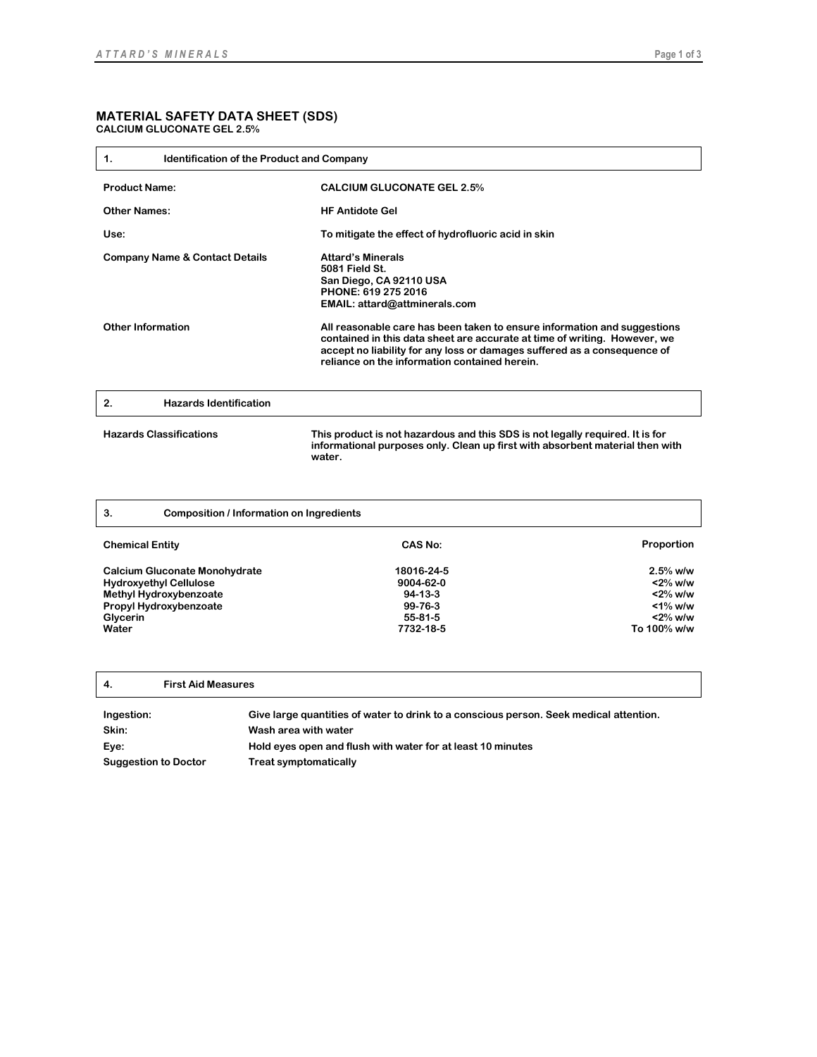## **MATERIAL SAFETY DATA SHEET (SDS) CALCIUM GLUCONATE GEL 2.5%**

| <b>Identification of the Product and Company</b><br>1.                |                                                                                                                                                                                                                                                                                                                                                                                                                     |
|-----------------------------------------------------------------------|---------------------------------------------------------------------------------------------------------------------------------------------------------------------------------------------------------------------------------------------------------------------------------------------------------------------------------------------------------------------------------------------------------------------|
| <b>Product Name:</b>                                                  | <b>CALCIUM GLUCONATE GEL 2.5%</b>                                                                                                                                                                                                                                                                                                                                                                                   |
| <b>Other Names:</b>                                                   | <b>HF Antidote Gel</b>                                                                                                                                                                                                                                                                                                                                                                                              |
| Use:                                                                  | To mitigate the effect of hydrofluoric acid in skin                                                                                                                                                                                                                                                                                                                                                                 |
| <b>Company Name &amp; Contact Details</b><br><b>Other Information</b> | <b>Attard's Minerals</b><br>5081 Field St.<br>San Diego, CA 92110 USA<br>PHONE: 619 275 2016<br>EMAIL: attard@attminerals.com<br>All reasonable care has been taken to ensure information and suggestions<br>contained in this data sheet are accurate at time of writing. However, we<br>accept no liability for any loss or damages suffered as a consequence of<br>reliance on the information contained herein. |
| <b>Hazards Identification</b><br>2.                                   |                                                                                                                                                                                                                                                                                                                                                                                                                     |
| <b>Hazards Classifications</b>                                        | This product is not hazardous and this SDS is not legally required. It is for<br>informational purposes only. Clean up first with absorbent material then with<br>water.                                                                                                                                                                                                                                            |

| 3.<br><b>Composition / Information on Ingredients</b>                                                                                          |                                                                         |                                                                                   |
|------------------------------------------------------------------------------------------------------------------------------------------------|-------------------------------------------------------------------------|-----------------------------------------------------------------------------------|
| <b>Chemical Entity</b>                                                                                                                         | CAS No:                                                                 | <b>Proportion</b>                                                                 |
| <b>Calcium Gluconate Monohydrate</b><br><b>Hydroxyethyl Cellulose</b><br>Methyl Hydroxybenzoate<br>Propyl Hydroxybenzoate<br>Glycerin<br>Water | 18016-24-5<br>9004-62-0<br>$94-13-3$<br>99-76-3<br>55-81-5<br>7732-18-5 | $2.5%$ w/w<br>$<$ 2% w/w<br>$<$ 2% w/w<br>$<$ 1% w/w<br>$<$ 2% w/w<br>To 100% w/w |

**4. First Aid Measures**

**Ingestion: Give large quantities of water to drink to a conscious person. Seek medical attention. Skin: Wash area with water Eye: Hold eyes open and flush with water for at least 10 minutes Suggestion to Doctor Treat symptomatically**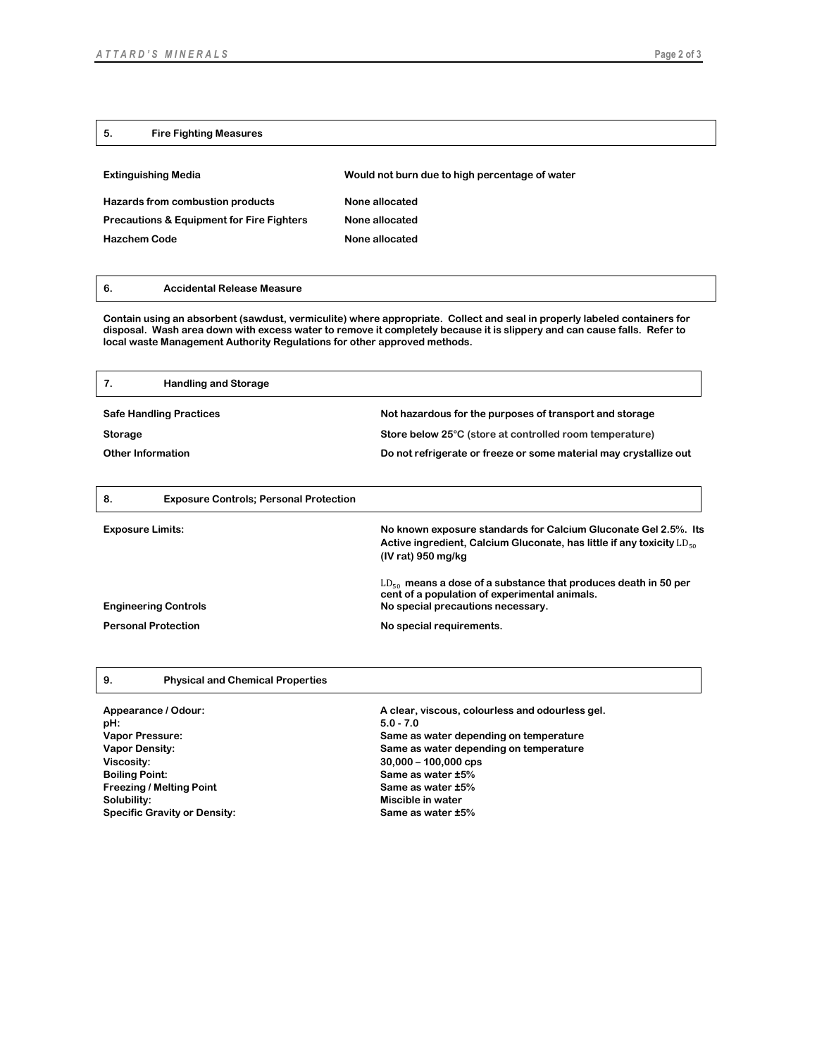## **5. Fire Fighting Measures**

| <b>Extinguishing Media</b>                           | Would not burn due to high percentage of water |
|------------------------------------------------------|------------------------------------------------|
| Hazards from combustion products                     | None allocated                                 |
| <b>Precautions &amp; Equipment for Fire Fighters</b> | None allocated                                 |
| <b>Hazchem Code</b>                                  | None allocated                                 |
|                                                      |                                                |

## **6. Accidental Release Measure**

**Contain using an absorbent (sawdust, vermiculite) where appropriate. Collect and seal in properly labeled containers for disposal. Wash area down with excess water to remove it completely because it is slippery and can cause falls. Refer to local waste Management Authority Regulations for other approved methods.**

| 7.<br><b>Handling and Storage</b>                   |                                                                                                                                                                       |
|-----------------------------------------------------|-----------------------------------------------------------------------------------------------------------------------------------------------------------------------|
| <b>Safe Handling Practices</b>                      | Not hazardous for the purposes of transport and storage                                                                                                               |
| Storage                                             | Store below 25°C (store at controlled room temperature)                                                                                                               |
| <b>Other Information</b>                            | Do not refrigerate or freeze or some material may crystallize out                                                                                                     |
|                                                     |                                                                                                                                                                       |
| 8.<br><b>Exposure Controls; Personal Protection</b> |                                                                                                                                                                       |
| <b>Exposure Limits:</b>                             | No known exposure standards for Calcium Gluconate Gel 2.5%. Its<br>Active ingredient, Calcium Gluconate, has little if any toxicity $LD_{50}$<br>$(IV rat)$ 950 mg/kg |
| <b>Engineering Controls</b>                         | $LD_{50}$ means a dose of a substance that produces death in 50 per<br>cent of a population of experimental animals.<br>No special precautions necessary.             |
| <b>Personal Protection</b>                          | No special requirements.                                                                                                                                              |
|                                                     |                                                                                                                                                                       |
|                                                     |                                                                                                                                                                       |

| 9. | <b>Physical and Chemical Properties</b> |
|----|-----------------------------------------|
|----|-----------------------------------------|

| Appearance / Odour:<br>pH:          | A clear, viscous, colourless and odourless gel.<br>$5.0 - 7.0$ |
|-------------------------------------|----------------------------------------------------------------|
| Vapor Pressure:                     | Same as water depending on temperature                         |
| <b>Vapor Density:</b>               | Same as water depending on temperature                         |
| Viscosity:                          | $30,000 - 100,000$ cps                                         |
| <b>Boiling Point:</b>               | Same as water ±5%                                              |
| <b>Freezing / Melting Point</b>     | Same as water ±5%                                              |
| Solubility:                         | Miscible in water                                              |
| <b>Specific Gravity or Density:</b> | Same as water ±5%                                              |